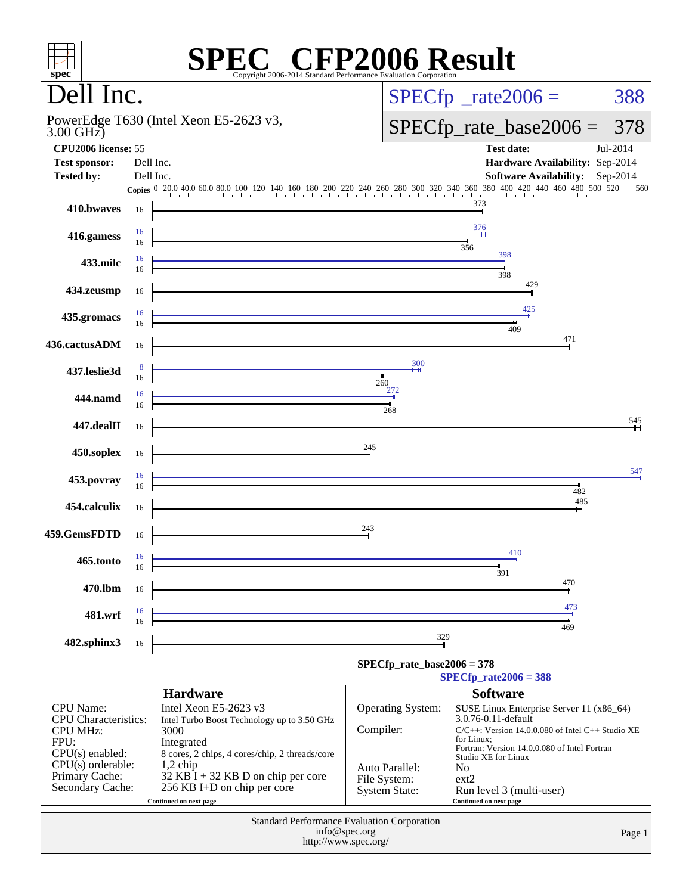| $spec^*$                                                    |           | Copyright 2006-2014 Standard Performance Evaluation Corporation              |                                | $\mathbb{C}^{\circ}$ CFP2006 Result                                                                                                                                                                              |  |  |
|-------------------------------------------------------------|-----------|------------------------------------------------------------------------------|--------------------------------|------------------------------------------------------------------------------------------------------------------------------------------------------------------------------------------------------------------|--|--|
| Dell Inc.                                                   |           |                                                                              |                                | $SPECfp^{\circ}$ _rate2006 =<br>388                                                                                                                                                                              |  |  |
| PowerEdge T630 (Intel Xeon E5-2623 v3,<br>$3.00$ GHz)       |           |                                                                              |                                | $SPECfp\_rate\_base2006 =$<br>378                                                                                                                                                                                |  |  |
| <b>CPU2006</b> license: 55<br><b>Test sponsor:</b>          | Dell Inc. |                                                                              |                                | <b>Test date:</b><br>Jul-2014<br>Hardware Availability: Sep-2014                                                                                                                                                 |  |  |
| <b>Tested by:</b>                                           | Dell Inc. |                                                                              |                                | Software Availability: Sep-2014                                                                                                                                                                                  |  |  |
|                                                             |           |                                                                              |                                | <b>Copies</b> $\begin{bmatrix} 0 & 20.0 & 40.0 & 60.0 & 80.0 & 100 & 120 & 140 & 160 & 180 & 200 & 220 & 240 & 260 & 280 & 300 & 320 & 340 & 360 & 380 & 400 & 420 & 440 & 480 & 500 & 520 \end{bmatrix}$<br>560 |  |  |
| 410.bwayes                                                  | 16        |                                                                              |                                | 373                                                                                                                                                                                                              |  |  |
| 416.gamess                                                  | 16<br>16  |                                                                              |                                | 376<br>356                                                                                                                                                                                                       |  |  |
| 433.milc                                                    | 16<br>16  |                                                                              |                                | 398<br>398                                                                                                                                                                                                       |  |  |
| 434.zeusmp                                                  | 16        |                                                                              |                                | 429                                                                                                                                                                                                              |  |  |
| 435.gromacs                                                 | 16<br>16  |                                                                              |                                | 425<br>409                                                                                                                                                                                                       |  |  |
| 436.cactusADM                                               | 16        |                                                                              |                                | 471                                                                                                                                                                                                              |  |  |
| 437.leslie3d                                                | -8<br>16  |                                                                              | 300<br>260                     |                                                                                                                                                                                                                  |  |  |
| 444.namd                                                    | 16<br>16  |                                                                              | 272<br>268                     |                                                                                                                                                                                                                  |  |  |
| 447.dealII                                                  | 16        |                                                                              |                                | 545                                                                                                                                                                                                              |  |  |
| 450.soplex                                                  | 16        |                                                                              | 245                            |                                                                                                                                                                                                                  |  |  |
| 453.povray                                                  | 16<br>16  |                                                                              |                                | 547<br>482                                                                                                                                                                                                       |  |  |
| 454.calculix                                                | 16        |                                                                              |                                | 485                                                                                                                                                                                                              |  |  |
| 459.GemsFDTD                                                | 16        |                                                                              | 243                            |                                                                                                                                                                                                                  |  |  |
| 465.tonto                                                   | 16<br>16  |                                                                              |                                | 410<br>:391                                                                                                                                                                                                      |  |  |
| 470.1bm                                                     | 16        |                                                                              |                                | 470                                                                                                                                                                                                              |  |  |
| 481.wrf                                                     | 16<br>16  |                                                                              |                                | 473                                                                                                                                                                                                              |  |  |
| 482.sphinx3                                                 | 16        |                                                                              |                                | 469<br>329                                                                                                                                                                                                       |  |  |
|                                                             |           |                                                                              |                                | $SPECfp\_rate\_base2006 = 378$<br>$SPECfp_{rate}2006 = 388$                                                                                                                                                      |  |  |
|                                                             |           | <b>Hardware</b>                                                              |                                | <b>Software</b>                                                                                                                                                                                                  |  |  |
| <b>CPU</b> Name:<br>CPU Characteristics:<br><b>CPU MHz:</b> |           | Intel Xeon E5-2623 v3<br>Intel Turbo Boost Technology up to 3.50 GHz<br>3000 | Operating System:<br>Compiler: | SUSE Linux Enterprise Server 11 (x86_64)<br>3.0.76-0.11-default<br>$C/C++$ : Version 14.0.0.080 of Intel $C++$ Studio XE                                                                                         |  |  |
| FPU:<br>$CPU(s)$ enabled:                                   |           | Integrated<br>8 cores, 2 chips, 4 cores/chip, 2 threads/core                 |                                | for Linux:<br>Fortran: Version 14.0.0.080 of Intel Fortran<br>Studio XE for Linux                                                                                                                                |  |  |
| $CPU(s)$ orderable:<br>Primary Cache:                       |           | $1,2$ chip<br>$32$ KB $\overline{1}$ + 32 KB D on chip per core              | Auto Parallel:<br>File System: | <b>No</b><br>$ext{2}$                                                                                                                                                                                            |  |  |
| Secondary Cache:                                            |           | 256 KB I+D on chip per core<br>Continued on next page                        | <b>System State:</b>           | Run level 3 (multi-user)<br>Continued on next page                                                                                                                                                               |  |  |
| Standard Performance Evaluation Corporation                 |           |                                                                              |                                |                                                                                                                                                                                                                  |  |  |
|                                                             |           | info@spec.org<br>http://www.spec.org/                                        |                                | Page 1                                                                                                                                                                                                           |  |  |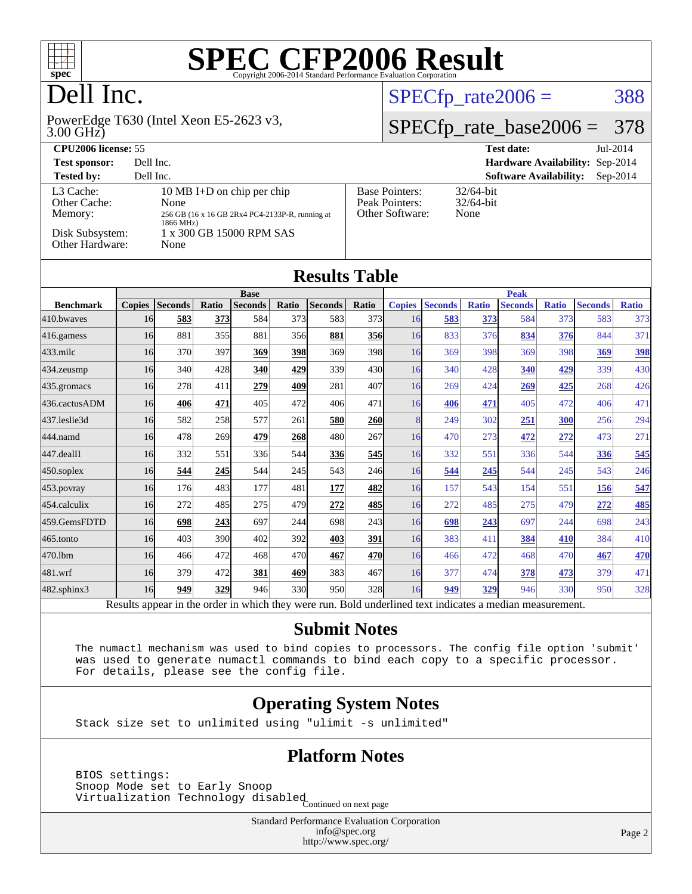

### Dell Inc.

#### 3.00 GHz) PowerEdge T630 (Intel Xeon E5-2623 v3,

#### $SPECTp_rate2006 = 388$

#### [SPECfp\\_rate\\_base2006 =](http://www.spec.org/auto/cpu2006/Docs/result-fields.html#SPECfpratebase2006) 378

| <b>CPU2006 license: 55</b>                                                 |                                                                                                                                        | $Jul-2014$<br><b>Test date:</b>                            |                                             |
|----------------------------------------------------------------------------|----------------------------------------------------------------------------------------------------------------------------------------|------------------------------------------------------------|---------------------------------------------|
| <b>Test sponsor:</b>                                                       | Dell Inc.                                                                                                                              |                                                            | Hardware Availability: Sep-2014             |
| <b>Tested by:</b>                                                          | Dell Inc.                                                                                                                              |                                                            | <b>Software Availability:</b><br>$Sep-2014$ |
| L3 Cache:<br>Other Cache:<br>Memory:<br>Disk Subsystem:<br>Other Hardware: | 10 MB I+D on chip per chip<br>None<br>256 GB (16 x 16 GB 2Rx4 PC4-2133P-R, running at<br>1866 MHz)<br>1 x 300 GB 15000 RPM SAS<br>None | <b>Base Pointers:</b><br>Peak Pointers:<br>Other Software: | $32/64$ -bit<br>$32/64$ -bit<br>None        |

| <b>Results Table</b> |                               |                |                 |                |       |                |             |               |                                 |              |                |              |                |              |
|----------------------|-------------------------------|----------------|-----------------|----------------|-------|----------------|-------------|---------------|---------------------------------|--------------|----------------|--------------|----------------|--------------|
|                      | <b>Base</b>                   |                |                 |                |       |                | <b>Peak</b> |               |                                 |              |                |              |                |              |
| <b>Benchmark</b>     | <b>Copies</b>                 | <b>Seconds</b> | Ratio           | <b>Seconds</b> | Ratio | <b>Seconds</b> | Ratio       | <b>Copies</b> | <b>Seconds</b>                  | <b>Ratio</b> | <b>Seconds</b> | <b>Ratio</b> | <b>Seconds</b> | <b>Ratio</b> |
| 410.bwayes           | 16                            | 583            | 373             | 584            | 373   | 583            | 373         | 16            | 583                             | 373          | 584            | 373          | 583            | 373          |
| 416.gamess           | 16                            | 881            | 355             | 881            | 356   | 881            | 356         | 16            | 833                             | 376          | 834            | 376          | 844            | 371          |
| $433$ .milc          | 16                            | 370            | 397             | 369            | 398   | 369            | 398         | 16            | 369                             | 398          | 369            | 398          | 369            | 398          |
| 434.zeusmp           | 16                            | 340            | 428             | 340            | 429   | 339            | 430         | 16            | 340                             | 428          | 340            | 429          | 339            | 430          |
| 435.gromacs          | 16                            | 278            | 411             | 279            | 409   | 281            | 407         | 16            | 269                             | 424          | 269            | 425          | 268            | 426          |
| 436.cactusADM        | 16                            | 406            | 471             | 405            | 472   | 406            | 471         | 16            | 406                             | 471          | 405            | 472          | 406            | 471          |
| 437.leslie3d         | 16                            | 582            | 258             | 577            | 261   | 580            | <b>260</b>  | 8             | 249                             | 302          | 251            | 300          | 256            | 294          |
| 444.namd             | 16                            | 478            | 269             | 479            | 268   | 480            | 267         | 16            | 470                             | 273          | 472            | 272          | 473            | 271          |
| 447.dealII           | 16                            | 332            | 551             | 336            | 544   | 336            | 545         | 16            | 332                             | 551          | 336            | 544          | 336            | 545          |
| $450$ .soplex        | 16                            | 544            | 245             | 544            | 245   | 543            | 246         | 16            | 544                             | 245          | 544            | 245          | 543            | 246          |
| $453$ .povray        | 16                            | 176            | 483             | 177            | 481   | 177            | 482         | 16            | 157                             | 543          | 154            | 551          | 156            | 547          |
| 454.calculix         | 16                            | 272            | 485             | 275            | 479   | 272            | 485         | 16            | 272                             | 485          | 275            | 479          | 272            | 485          |
| 459.GemsFDTD         | 16                            | 698            | 243             | 697            | 244   | 698            | 243         | 16            | 698                             | 243          | 697            | 244          | 698            | 243          |
| $465$ .tonto         | 16                            | 403            | 390             | 402            | 392   | 403            | 391         | 16            | 383                             | 411          | 384            | 410          | 384            | 410          |
| 470.1bm              | 16                            | 466            | 472             | 468            | 470   | 467            | 470         | 16            | 466                             | 472          | 468            | 470          | 467            | 470          |
| 481.wrf              | 16                            | 379            | 472             | 381            | 469   | 383            | 467         | 16            | 377                             | 474          | 378            | 473          | 379            | 471          |
| 482.sphinx3          | 16                            | 949            | 329             | 946            | 330l  | 950            | 328         | 16            | 949                             | 329          | 946            | 330          | 950            | 328          |
|                      | $\mathbf{D}$ and $\mathbf{L}$ | 1.111          | للمناقب المناقب | $1.3 - 1.41$   |       |                |             |               | Dald an darkned toot in diastra |              | $\mathbf{11}$  |              |                |              |

Results appear in the [order in which they were run.](http://www.spec.org/auto/cpu2006/Docs/result-fields.html#RunOrder) Bold underlined text [indicates a median measurement.](http://www.spec.org/auto/cpu2006/Docs/result-fields.html#Median)

#### **[Submit Notes](http://www.spec.org/auto/cpu2006/Docs/result-fields.html#SubmitNotes)**

 The numactl mechanism was used to bind copies to processors. The config file option 'submit' was used to generate numactl commands to bind each copy to a specific processor. For details, please see the config file.

#### **[Operating System Notes](http://www.spec.org/auto/cpu2006/Docs/result-fields.html#OperatingSystemNotes)**

Stack size set to unlimited using "ulimit -s unlimited"

#### **[Platform Notes](http://www.spec.org/auto/cpu2006/Docs/result-fields.html#PlatformNotes)**

 BIOS settings: Snoop Mode set to Early Snoop Shoop mode see to 1944.<br>Virtualization Technology disabled Continued on next page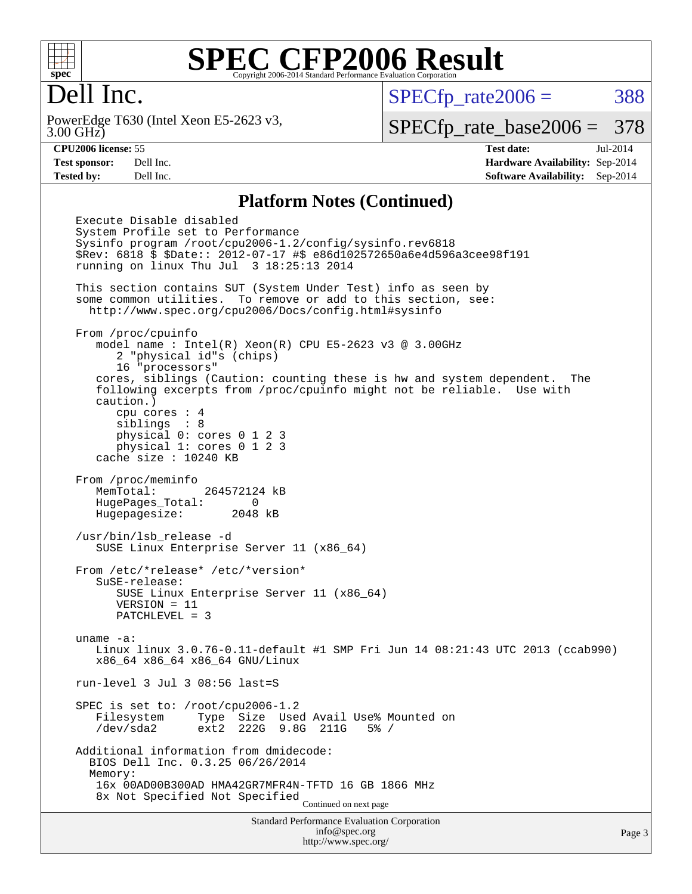

#### Dell Inc.

3.00 GHz) PowerEdge T630 (Intel Xeon E5-2623 v3,  $SPECTp\_rate2006 = 388$ 

[SPECfp\\_rate\\_base2006 =](http://www.spec.org/auto/cpu2006/Docs/result-fields.html#SPECfpratebase2006) 378

**[CPU2006 license:](http://www.spec.org/auto/cpu2006/Docs/result-fields.html#CPU2006license)** 55 **[Test date:](http://www.spec.org/auto/cpu2006/Docs/result-fields.html#Testdate)** Jul-2014 **[Test sponsor:](http://www.spec.org/auto/cpu2006/Docs/result-fields.html#Testsponsor)** Dell Inc. **[Hardware Availability:](http://www.spec.org/auto/cpu2006/Docs/result-fields.html#HardwareAvailability)** Sep-2014 **[Tested by:](http://www.spec.org/auto/cpu2006/Docs/result-fields.html#Testedby)** Dell Inc. **[Software Availability:](http://www.spec.org/auto/cpu2006/Docs/result-fields.html#SoftwareAvailability)** Sep-2014

#### **[Platform Notes \(Continued\)](http://www.spec.org/auto/cpu2006/Docs/result-fields.html#PlatformNotes)**

Standard Performance Evaluation Corporation [info@spec.org](mailto:info@spec.org) Execute Disable disabled System Profile set to Performance Sysinfo program /root/cpu2006-1.2/config/sysinfo.rev6818 \$Rev: 6818 \$ \$Date:: 2012-07-17 #\$ e86d102572650a6e4d596a3cee98f191 running on linux Thu Jul 3 18:25:13 2014 This section contains SUT (System Under Test) info as seen by some common utilities. To remove or add to this section, see: <http://www.spec.org/cpu2006/Docs/config.html#sysinfo> From /proc/cpuinfo model name : Intel(R) Xeon(R) CPU E5-2623 v3 @ 3.00GHz 2 "physical id"s (chips) 16 "processors" cores, siblings (Caution: counting these is hw and system dependent. The following excerpts from /proc/cpuinfo might not be reliable. Use with caution.) cpu cores : 4 siblings : 8 physical 0: cores 0 1 2 3 physical 1: cores 0 1 2 3 cache size : 10240 KB From /proc/meminfo MemTotal: 264572124 kB HugePages\_Total: 0 Hugepagesize: 2048 kB /usr/bin/lsb\_release -d SUSE Linux Enterprise Server 11 (x86\_64) From /etc/\*release\* /etc/\*version\* SuSE-release: SUSE Linux Enterprise Server 11 (x86\_64) VERSION = 11 PATCHLEVEL = 3 uname -a: Linux linux 3.0.76-0.11-default #1 SMP Fri Jun 14 08:21:43 UTC 2013 (ccab990) x86\_64 x86\_64 x86\_64 GNU/Linux run-level 3 Jul 3 08:56 last=S SPEC is set to: /root/cpu2006-1.2 Filesystem Type Size Used Avail Use% Mounted on /dev/sda2 ext2 222G 9.8G 211G 5% / Additional information from dmidecode: BIOS Dell Inc. 0.3.25 06/26/2014 Memory: 16x 00AD00B300AD HMA42GR7MFR4N-TFTD 16 GB 1866 MHz 8x Not Specified Not Specified Continued on next page

<http://www.spec.org/>

Page 3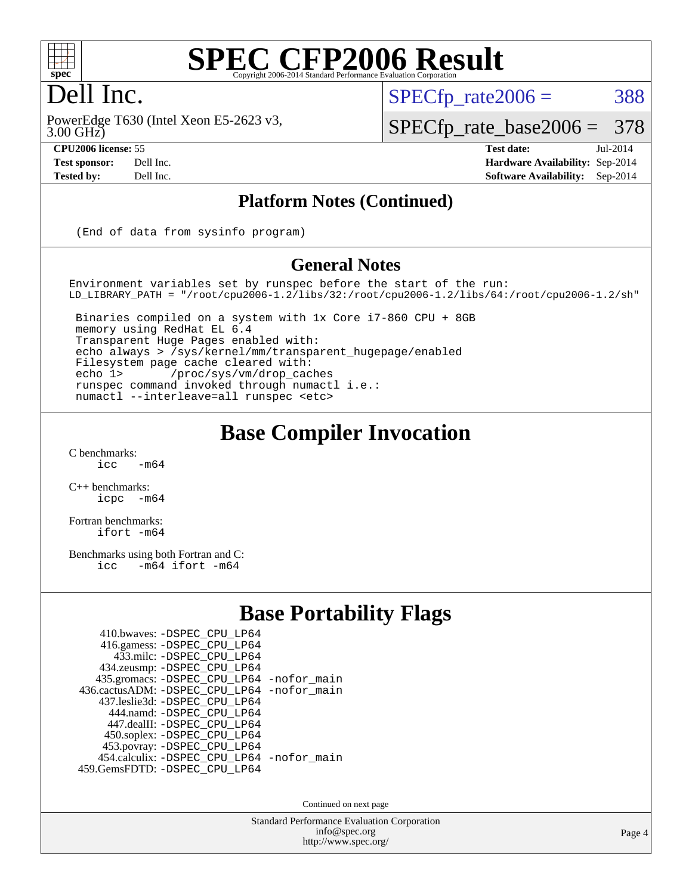

#### Dell Inc.

3.00 GHz) PowerEdge T630 (Intel Xeon E5-2623 v3,

 $SPECTp\_rate2006 = 388$ 

[SPECfp\\_rate\\_base2006 =](http://www.spec.org/auto/cpu2006/Docs/result-fields.html#SPECfpratebase2006) 378

**[CPU2006 license:](http://www.spec.org/auto/cpu2006/Docs/result-fields.html#CPU2006license)** 55 **[Test date:](http://www.spec.org/auto/cpu2006/Docs/result-fields.html#Testdate)** Jul-2014 **[Test sponsor:](http://www.spec.org/auto/cpu2006/Docs/result-fields.html#Testsponsor)** Dell Inc. **[Hardware Availability:](http://www.spec.org/auto/cpu2006/Docs/result-fields.html#HardwareAvailability)** Sep-2014 **[Tested by:](http://www.spec.org/auto/cpu2006/Docs/result-fields.html#Testedby)** Dell Inc. **[Software Availability:](http://www.spec.org/auto/cpu2006/Docs/result-fields.html#SoftwareAvailability)** Sep-2014

#### **[Platform Notes \(Continued\)](http://www.spec.org/auto/cpu2006/Docs/result-fields.html#PlatformNotes)**

(End of data from sysinfo program)

#### **[General Notes](http://www.spec.org/auto/cpu2006/Docs/result-fields.html#GeneralNotes)**

Environment variables set by runspec before the start of the run: LD\_LIBRARY\_PATH = "/root/cpu2006-1.2/libs/32:/root/cpu2006-1.2/libs/64:/root/cpu2006-1.2/sh"

 Binaries compiled on a system with 1x Core i7-860 CPU + 8GB memory using RedHat EL 6.4 Transparent Huge Pages enabled with: echo always > /sys/kernel/mm/transparent\_hugepage/enabled Filesystem page cache cleared with: echo 1> /proc/sys/vm/drop\_caches runspec command invoked through numactl i.e.: numactl --interleave=all runspec <etc>

#### **[Base Compiler Invocation](http://www.spec.org/auto/cpu2006/Docs/result-fields.html#BaseCompilerInvocation)**

 $C$  benchmarks:<br>icc  $-m64$ 

[C++ benchmarks:](http://www.spec.org/auto/cpu2006/Docs/result-fields.html#CXXbenchmarks) [icpc -m64](http://www.spec.org/cpu2006/results/res2014q3/cpu2006-20140909-31302.flags.html#user_CXXbase_intel_icpc_64bit_bedb90c1146cab66620883ef4f41a67e)

[Fortran benchmarks](http://www.spec.org/auto/cpu2006/Docs/result-fields.html#Fortranbenchmarks): [ifort -m64](http://www.spec.org/cpu2006/results/res2014q3/cpu2006-20140909-31302.flags.html#user_FCbase_intel_ifort_64bit_ee9d0fb25645d0210d97eb0527dcc06e)

[Benchmarks using both Fortran and C](http://www.spec.org/auto/cpu2006/Docs/result-fields.html#BenchmarksusingbothFortranandC): [icc -m64](http://www.spec.org/cpu2006/results/res2014q3/cpu2006-20140909-31302.flags.html#user_CC_FCbase_intel_icc_64bit_0b7121f5ab7cfabee23d88897260401c) [ifort -m64](http://www.spec.org/cpu2006/results/res2014q3/cpu2006-20140909-31302.flags.html#user_CC_FCbase_intel_ifort_64bit_ee9d0fb25645d0210d97eb0527dcc06e)

#### **[Base Portability Flags](http://www.spec.org/auto/cpu2006/Docs/result-fields.html#BasePortabilityFlags)**

| 410.bwaves: -DSPEC CPU LP64                |  |
|--------------------------------------------|--|
| 416.gamess: -DSPEC_CPU_LP64                |  |
|                                            |  |
| 433.milc: -DSPEC CPU LP64                  |  |
| 434.zeusmp: -DSPEC_CPU_LP64                |  |
| 435.gromacs: -DSPEC_CPU_LP64 -nofor_main   |  |
| 436.cactusADM: -DSPEC CPU LP64 -nofor main |  |
| 437.leslie3d: -DSPEC CPU LP64              |  |
| 444.namd: - DSPEC_CPU LP64                 |  |
| 447.dealII: -DSPEC_CPU_LP64                |  |
| 450.soplex: -DSPEC_CPU_LP64                |  |
| 453.povray: -DSPEC_CPU_LP64                |  |
| 454.calculix: - DSPEC_CPU_LP64 -nofor_main |  |
| 459.GemsFDTD: - DSPEC_CPU_LP64             |  |
|                                            |  |

Continued on next page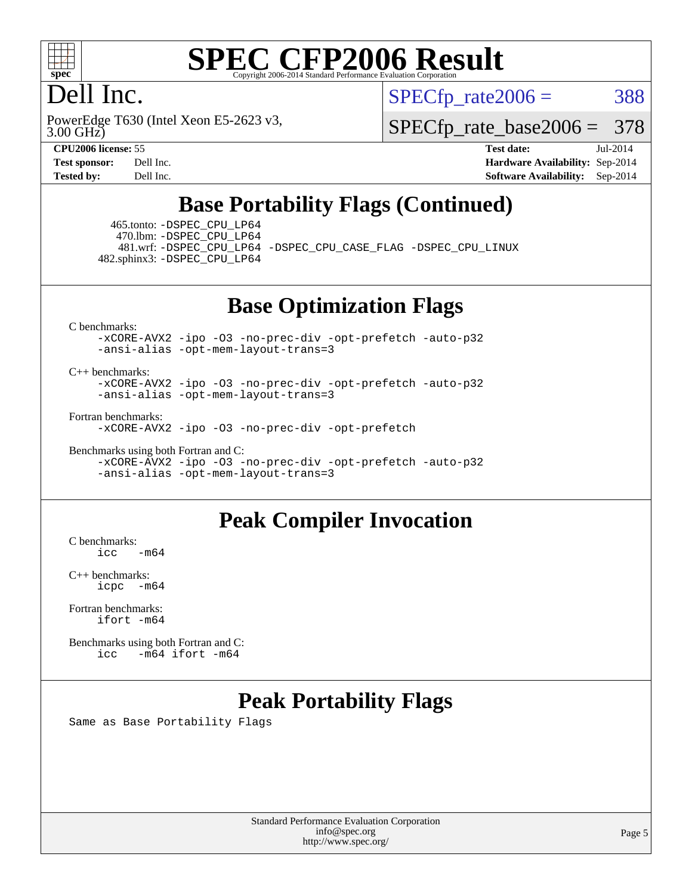

#### Dell Inc.

 $SPECTp\_rate2006 = 388$ 

3.00 GHz) PowerEdge T630 (Intel Xeon E5-2623 v3,

[SPECfp\\_rate\\_base2006 =](http://www.spec.org/auto/cpu2006/Docs/result-fields.html#SPECfpratebase2006) 378

**[CPU2006 license:](http://www.spec.org/auto/cpu2006/Docs/result-fields.html#CPU2006license)** 55 **[Test date:](http://www.spec.org/auto/cpu2006/Docs/result-fields.html#Testdate)** Jul-2014 **[Test sponsor:](http://www.spec.org/auto/cpu2006/Docs/result-fields.html#Testsponsor)** Dell Inc. **[Hardware Availability:](http://www.spec.org/auto/cpu2006/Docs/result-fields.html#HardwareAvailability)** Sep-2014 **[Tested by:](http://www.spec.org/auto/cpu2006/Docs/result-fields.html#Testedby)** Dell Inc. **[Software Availability:](http://www.spec.org/auto/cpu2006/Docs/result-fields.html#SoftwareAvailability)** Sep-2014

#### **[Base Portability Flags \(Continued\)](http://www.spec.org/auto/cpu2006/Docs/result-fields.html#BasePortabilityFlags)**

 465.tonto: [-DSPEC\\_CPU\\_LP64](http://www.spec.org/cpu2006/results/res2014q3/cpu2006-20140909-31302.flags.html#suite_basePORTABILITY465_tonto_DSPEC_CPU_LP64) 470.lbm: [-DSPEC\\_CPU\\_LP64](http://www.spec.org/cpu2006/results/res2014q3/cpu2006-20140909-31302.flags.html#suite_basePORTABILITY470_lbm_DSPEC_CPU_LP64)

 481.wrf: [-DSPEC\\_CPU\\_LP64](http://www.spec.org/cpu2006/results/res2014q3/cpu2006-20140909-31302.flags.html#suite_basePORTABILITY481_wrf_DSPEC_CPU_LP64) [-DSPEC\\_CPU\\_CASE\\_FLAG](http://www.spec.org/cpu2006/results/res2014q3/cpu2006-20140909-31302.flags.html#b481.wrf_baseCPORTABILITY_DSPEC_CPU_CASE_FLAG) [-DSPEC\\_CPU\\_LINUX](http://www.spec.org/cpu2006/results/res2014q3/cpu2006-20140909-31302.flags.html#b481.wrf_baseCPORTABILITY_DSPEC_CPU_LINUX) 482.sphinx3: [-DSPEC\\_CPU\\_LP64](http://www.spec.org/cpu2006/results/res2014q3/cpu2006-20140909-31302.flags.html#suite_basePORTABILITY482_sphinx3_DSPEC_CPU_LP64)

**[Base Optimization Flags](http://www.spec.org/auto/cpu2006/Docs/result-fields.html#BaseOptimizationFlags)**

[C benchmarks](http://www.spec.org/auto/cpu2006/Docs/result-fields.html#Cbenchmarks):

[-xCORE-AVX2](http://www.spec.org/cpu2006/results/res2014q3/cpu2006-20140909-31302.flags.html#user_CCbase_f-xAVX2_5f5fc0cbe2c9f62c816d3e45806c70d7) [-ipo](http://www.spec.org/cpu2006/results/res2014q3/cpu2006-20140909-31302.flags.html#user_CCbase_f-ipo) [-O3](http://www.spec.org/cpu2006/results/res2014q3/cpu2006-20140909-31302.flags.html#user_CCbase_f-O3) [-no-prec-div](http://www.spec.org/cpu2006/results/res2014q3/cpu2006-20140909-31302.flags.html#user_CCbase_f-no-prec-div) [-opt-prefetch](http://www.spec.org/cpu2006/results/res2014q3/cpu2006-20140909-31302.flags.html#user_CCbase_f-opt-prefetch) [-auto-p32](http://www.spec.org/cpu2006/results/res2014q3/cpu2006-20140909-31302.flags.html#user_CCbase_f-auto-p32) [-ansi-alias](http://www.spec.org/cpu2006/results/res2014q3/cpu2006-20140909-31302.flags.html#user_CCbase_f-ansi-alias) [-opt-mem-layout-trans=3](http://www.spec.org/cpu2006/results/res2014q3/cpu2006-20140909-31302.flags.html#user_CCbase_f-opt-mem-layout-trans_a7b82ad4bd7abf52556d4961a2ae94d5)

#### [C++ benchmarks:](http://www.spec.org/auto/cpu2006/Docs/result-fields.html#CXXbenchmarks)

[-xCORE-AVX2](http://www.spec.org/cpu2006/results/res2014q3/cpu2006-20140909-31302.flags.html#user_CXXbase_f-xAVX2_5f5fc0cbe2c9f62c816d3e45806c70d7) [-ipo](http://www.spec.org/cpu2006/results/res2014q3/cpu2006-20140909-31302.flags.html#user_CXXbase_f-ipo) [-O3](http://www.spec.org/cpu2006/results/res2014q3/cpu2006-20140909-31302.flags.html#user_CXXbase_f-O3) [-no-prec-div](http://www.spec.org/cpu2006/results/res2014q3/cpu2006-20140909-31302.flags.html#user_CXXbase_f-no-prec-div) [-opt-prefetch](http://www.spec.org/cpu2006/results/res2014q3/cpu2006-20140909-31302.flags.html#user_CXXbase_f-opt-prefetch) [-auto-p32](http://www.spec.org/cpu2006/results/res2014q3/cpu2006-20140909-31302.flags.html#user_CXXbase_f-auto-p32) [-ansi-alias](http://www.spec.org/cpu2006/results/res2014q3/cpu2006-20140909-31302.flags.html#user_CXXbase_f-ansi-alias) [-opt-mem-layout-trans=3](http://www.spec.org/cpu2006/results/res2014q3/cpu2006-20140909-31302.flags.html#user_CXXbase_f-opt-mem-layout-trans_a7b82ad4bd7abf52556d4961a2ae94d5)

[Fortran benchmarks](http://www.spec.org/auto/cpu2006/Docs/result-fields.html#Fortranbenchmarks):

[-xCORE-AVX2](http://www.spec.org/cpu2006/results/res2014q3/cpu2006-20140909-31302.flags.html#user_FCbase_f-xAVX2_5f5fc0cbe2c9f62c816d3e45806c70d7) [-ipo](http://www.spec.org/cpu2006/results/res2014q3/cpu2006-20140909-31302.flags.html#user_FCbase_f-ipo) [-O3](http://www.spec.org/cpu2006/results/res2014q3/cpu2006-20140909-31302.flags.html#user_FCbase_f-O3) [-no-prec-div](http://www.spec.org/cpu2006/results/res2014q3/cpu2006-20140909-31302.flags.html#user_FCbase_f-no-prec-div) [-opt-prefetch](http://www.spec.org/cpu2006/results/res2014q3/cpu2006-20140909-31302.flags.html#user_FCbase_f-opt-prefetch)

[Benchmarks using both Fortran and C](http://www.spec.org/auto/cpu2006/Docs/result-fields.html#BenchmarksusingbothFortranandC):

[-xCORE-AVX2](http://www.spec.org/cpu2006/results/res2014q3/cpu2006-20140909-31302.flags.html#user_CC_FCbase_f-xAVX2_5f5fc0cbe2c9f62c816d3e45806c70d7) [-ipo](http://www.spec.org/cpu2006/results/res2014q3/cpu2006-20140909-31302.flags.html#user_CC_FCbase_f-ipo) [-O3](http://www.spec.org/cpu2006/results/res2014q3/cpu2006-20140909-31302.flags.html#user_CC_FCbase_f-O3) [-no-prec-div](http://www.spec.org/cpu2006/results/res2014q3/cpu2006-20140909-31302.flags.html#user_CC_FCbase_f-no-prec-div) [-opt-prefetch](http://www.spec.org/cpu2006/results/res2014q3/cpu2006-20140909-31302.flags.html#user_CC_FCbase_f-opt-prefetch) [-auto-p32](http://www.spec.org/cpu2006/results/res2014q3/cpu2006-20140909-31302.flags.html#user_CC_FCbase_f-auto-p32) [-ansi-alias](http://www.spec.org/cpu2006/results/res2014q3/cpu2006-20140909-31302.flags.html#user_CC_FCbase_f-ansi-alias) [-opt-mem-layout-trans=3](http://www.spec.org/cpu2006/results/res2014q3/cpu2006-20140909-31302.flags.html#user_CC_FCbase_f-opt-mem-layout-trans_a7b82ad4bd7abf52556d4961a2ae94d5)

#### **[Peak Compiler Invocation](http://www.spec.org/auto/cpu2006/Docs/result-fields.html#PeakCompilerInvocation)**

[C benchmarks](http://www.spec.org/auto/cpu2006/Docs/result-fields.html#Cbenchmarks):  $icc$   $-m64$ 

[C++ benchmarks:](http://www.spec.org/auto/cpu2006/Docs/result-fields.html#CXXbenchmarks) [icpc -m64](http://www.spec.org/cpu2006/results/res2014q3/cpu2006-20140909-31302.flags.html#user_CXXpeak_intel_icpc_64bit_bedb90c1146cab66620883ef4f41a67e)

[Fortran benchmarks](http://www.spec.org/auto/cpu2006/Docs/result-fields.html#Fortranbenchmarks): [ifort -m64](http://www.spec.org/cpu2006/results/res2014q3/cpu2006-20140909-31302.flags.html#user_FCpeak_intel_ifort_64bit_ee9d0fb25645d0210d97eb0527dcc06e)

[Benchmarks using both Fortran and C](http://www.spec.org/auto/cpu2006/Docs/result-fields.html#BenchmarksusingbothFortranandC): [icc -m64](http://www.spec.org/cpu2006/results/res2014q3/cpu2006-20140909-31302.flags.html#user_CC_FCpeak_intel_icc_64bit_0b7121f5ab7cfabee23d88897260401c) [ifort -m64](http://www.spec.org/cpu2006/results/res2014q3/cpu2006-20140909-31302.flags.html#user_CC_FCpeak_intel_ifort_64bit_ee9d0fb25645d0210d97eb0527dcc06e)

#### **[Peak Portability Flags](http://www.spec.org/auto/cpu2006/Docs/result-fields.html#PeakPortabilityFlags)**

Same as Base Portability Flags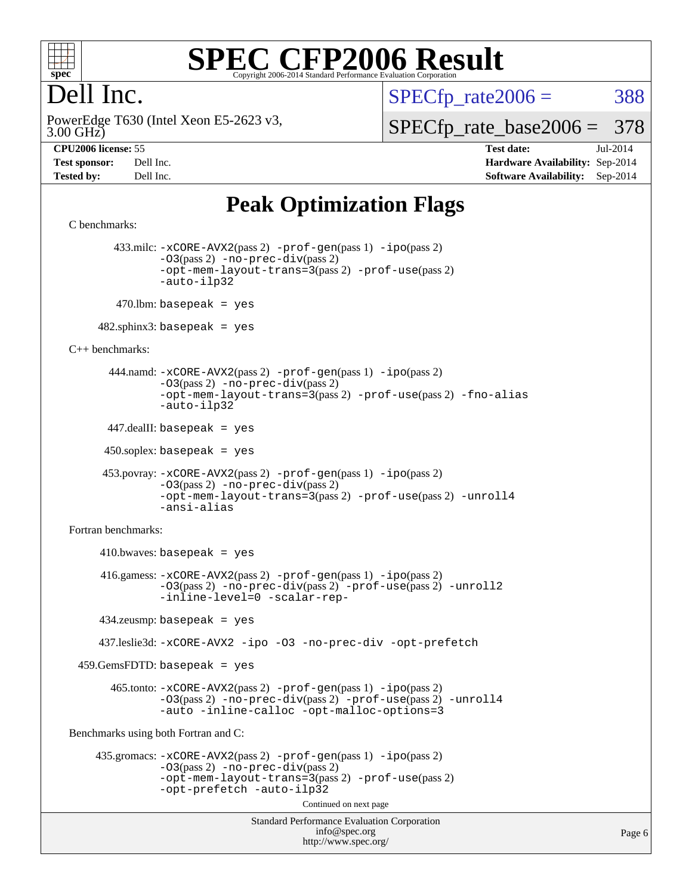

### Dell Inc.

 $SPECTp\_rate2006 = 388$ 

3.00 GHz) PowerEdge T630 (Intel Xeon E5-2623 v3, [SPECfp\\_rate\\_base2006 =](http://www.spec.org/auto/cpu2006/Docs/result-fields.html#SPECfpratebase2006) 378

**[CPU2006 license:](http://www.spec.org/auto/cpu2006/Docs/result-fields.html#CPU2006license)** 55 **[Test date:](http://www.spec.org/auto/cpu2006/Docs/result-fields.html#Testdate)** Jul-2014 **[Test sponsor:](http://www.spec.org/auto/cpu2006/Docs/result-fields.html#Testsponsor)** Dell Inc. **[Hardware Availability:](http://www.spec.org/auto/cpu2006/Docs/result-fields.html#HardwareAvailability)** Sep-2014 **[Tested by:](http://www.spec.org/auto/cpu2006/Docs/result-fields.html#Testedby)** Dell Inc. **[Software Availability:](http://www.spec.org/auto/cpu2006/Docs/result-fields.html#SoftwareAvailability)** Sep-2014

### **[Peak Optimization Flags](http://www.spec.org/auto/cpu2006/Docs/result-fields.html#PeakOptimizationFlags)**

```
Standard Performance Evaluation Corporation
                                           info@spec.org
                                         http://www.spec.org/
C benchmarks: 
         433.milc: -xCORE-AVX2(pass 2) -prof-gen(pass 1) -ipo(pass 2)
                -03(pass 2) -no-prec-div(pass 2)-opt-mem-layout-trans=3(pass 2) -prof-use(pass 2)
                -auto-ilp32
        470.lbm: basepeak = yes
     482.sphinx3: basepeak = yes
C++ benchmarks: 
        444.namd: -xCORE-AVX2(pass 2) -prof-gen(pass 1) -ipo(pass 2)
                -O3(pass 2) -no-prec-div(pass 2)
                -opt-mem-layout-trans=3(pass 2) -prof-use(pass 2) -fno-alias
                -auto-ilp32
       447.dealII: basepeak = yes
      450.soplex: basepeak = yes
       453.povray: -xCORE-AVX2(pass 2) -prof-gen(pass 1) -ipo(pass 2)
                -O3(pass 2) -no-prec-div(pass 2)
                -opt-mem-layout-trans=3(pass 2) -prof-use(pass 2) -unroll4
                -ansi-alias
Fortran benchmarks: 
     410.bwaves: basepeak = yes 416.gamess: -xCORE-AVX2(pass 2) -prof-gen(pass 1) -ipo(pass 2)
                -O3(pass 2) -no-prec-div(pass 2) -prof-use(pass 2) -unroll2
                -inline-level=0 -scalar-rep-
      434.zeusmp: basepeak = yes
      437.leslie3d: -xCORE-AVX2 -ipo -O3 -no-prec-div -opt-prefetch
  459.GemsFDTD: basepeak = yes
        465.tonto: -xCORE-AVX2(pass 2) -prof-gen(pass 1) -ipo(pass 2)
                -O3(pass 2) -no-prec-div(pass 2) -prof-use(pass 2) -unroll4
                -auto -inline-calloc -opt-malloc-options=3
Benchmarks using both Fortran and C: 
     435.gromacs: -xCORE-AVX2(pass 2) -prof-gen(pass 1) -ipo(pass 2)
                -O3(pass 2) -no-prec-div(pass 2)
                -opt-mem-layout-trans=3(pass 2) -prof-use(pass 2)
                -opt-prefetch -auto-ilp32
                                         Continued on next page
```